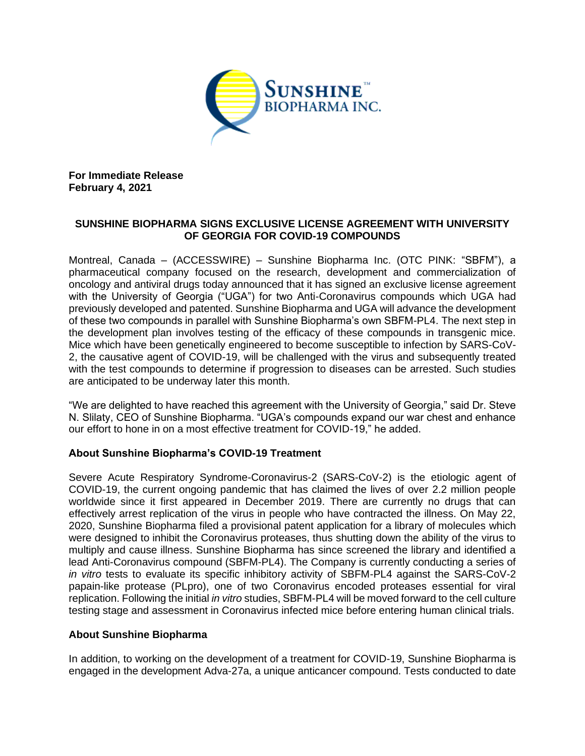

**For Immediate Release February 4, 2021**

## **SUNSHINE BIOPHARMA SIGNS EXCLUSIVE LICENSE AGREEMENT WITH UNIVERSITY OF GEORGIA FOR COVID-19 COMPOUNDS**

Montreal, Canada – (ACCESSWIRE) – Sunshine Biopharma Inc. (OTC PINK: "SBFM"), a pharmaceutical company focused on the research, development and commercialization of oncology and antiviral drugs today announced that it has signed an exclusive license agreement with the University of Georgia ("UGA") for two Anti-Coronavirus compounds which UGA had previously developed and patented. Sunshine Biopharma and UGA will advance the development of these two compounds in parallel with Sunshine Biopharma's own SBFM-PL4. The next step in the development plan involves testing of the efficacy of these compounds in transgenic mice. Mice which have been genetically engineered to become susceptible to infection by SARS-CoV-2, the causative agent of COVID-19, will be challenged with the virus and subsequently treated with the test compounds to determine if progression to diseases can be arrested. Such studies are anticipated to be underway later this month.

"We are delighted to have reached this agreement with the University of Georgia," said Dr. Steve N. Slilaty, CEO of Sunshine Biopharma. "UGA's compounds expand our war chest and enhance our effort to hone in on a most effective treatment for COVID-19," he added.

## **About Sunshine Biopharma's COVID-19 Treatment**

Severe Acute Respiratory Syndrome-Coronavirus-2 (SARS-CoV-2) is the etiologic agent of COVID-19, the current ongoing pandemic that has claimed the lives of over 2.2 million people worldwide since it first appeared in December 2019. There are currently no drugs that can effectively arrest replication of the virus in people who have contracted the illness. On May 22, 2020, Sunshine Biopharma filed a provisional patent application for a library of molecules which were designed to inhibit the Coronavirus proteases, thus shutting down the ability of the virus to multiply and cause illness. Sunshine Biopharma has since screened the library and identified a lead Anti-Coronavirus compound (SBFM-PL4). The Company is currently conducting a series of *in vitro* tests to evaluate its specific inhibitory activity of SBFM-PL4 against the SARS-CoV-2 papain-like protease (PLpro), one of two Coronavirus encoded proteases essential for viral replication. Following the initial *in vitro* studies, SBFM-PL4 will be moved forward to the cell culture testing stage and assessment in Coronavirus infected mice before entering human clinical trials.

## **About Sunshine Biopharma**

In addition, to working on the development of a treatment for COVID-19, Sunshine Biopharma is engaged in the development Adva-27a, a unique anticancer compound. Tests conducted to date